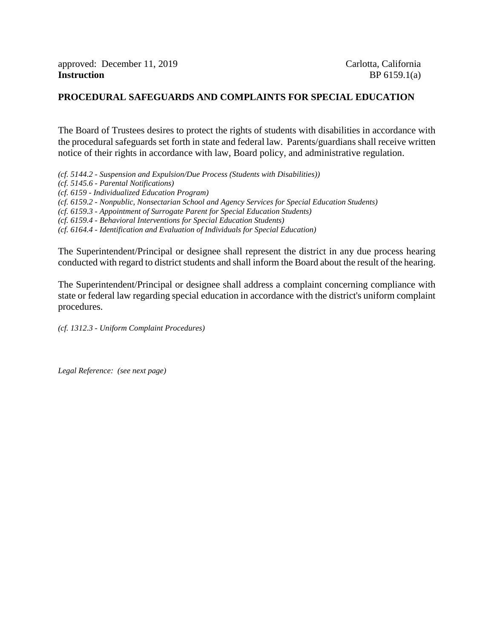## **PROCEDURAL SAFEGUARDS AND COMPLAINTS FOR SPECIAL EDUCATION**

The Board of Trustees desires to protect the rights of students with disabilities in accordance with the procedural safeguards set forth in state and federal law. Parents/guardians shall receive written notice of their rights in accordance with law, Board policy, and administrative regulation.

*(cf. 5144.2 - Suspension and Expulsion/Due Process (Students with Disabilities)) (cf. 5145.6 - Parental Notifications) (cf. 6159 - Individualized Education Program) (cf. 6159.2 - Nonpublic, Nonsectarian School and Agency Services for Special Education Students) (cf. 6159.3 - Appointment of Surrogate Parent for Special Education Students) (cf. 6159.4 - Behavioral Interventions for Special Education Students) (cf. 6164.4 - Identification and Evaluation of Individuals for Special Education)*

The Superintendent/Principal or designee shall represent the district in any due process hearing conducted with regard to district students and shall inform the Board about the result of the hearing.

The Superintendent/Principal or designee shall address a complaint concerning compliance with state or federal law regarding special education in accordance with the district's uniform complaint procedures.

*(cf. 1312.3 - Uniform Complaint Procedures)*

*Legal Reference: (see next page)*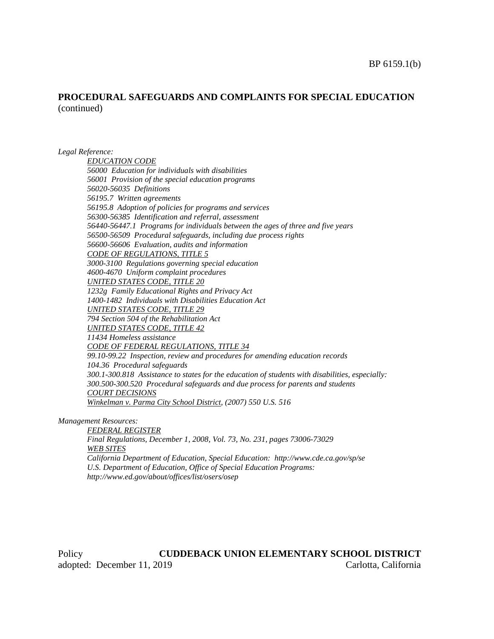### **PROCEDURAL SAFEGUARDS AND COMPLAINTS FOR SPECIAL EDUCATION** (continued)

*Legal Reference:*

*EDUCATION CODE 56000 Education for individuals with disabilities 56001 Provision of the special education programs 56020-56035 Definitions 56195.7 Written agreements 56195.8 Adoption of policies for programs and services 56300-56385 Identification and referral, assessment 56440-56447.1 Programs for individuals between the ages of three and five years 56500-56509 Procedural safeguards, including due process rights 56600-56606 Evaluation, audits and information CODE OF REGULATIONS, TITLE 5 3000-3100 Regulations governing special education 4600-4670 Uniform complaint procedures UNITED STATES CODE, TITLE 20 1232g Family Educational Rights and Privacy Act 1400-1482 Individuals with Disabilities Education Act UNITED STATES CODE, TITLE 29 794 Section 504 of the Rehabilitation Act UNITED STATES CODE, TITLE 42 11434 Homeless assistance CODE OF FEDERAL REGULATIONS, TITLE 34 99.10-99.22 Inspection, review and procedures for amending education records 104.36 Procedural safeguards 300.1-300.818 Assistance to states for the education of students with disabilities, especially: 300.500-300.520 Procedural safeguards and due process for parents and students COURT DECISIONS Winkelman v. Parma City School District, (2007) 550 U.S. 516*

*Management Resources:*

*FEDERAL REGISTER Final Regulations, December 1, 2008, Vol. 73, No. 231, pages 73006-73029 WEB SITES California Department of Education, Special Education: http://www.cde.ca.gov/sp/se U.S. Department of Education, Office of Special Education Programs: http://www.ed.gov/about/offices/list/osers/osep*

Policy **CUDDEBACK UNION ELEMENTARY SCHOOL DISTRICT** adopted: December 11, 2019 Carlotta, California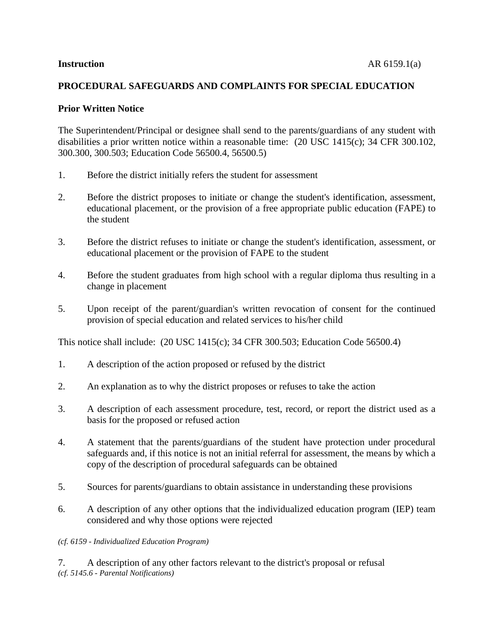### **PROCEDURAL SAFEGUARDS AND COMPLAINTS FOR SPECIAL EDUCATION**

### **Prior Written Notice**

The Superintendent/Principal or designee shall send to the parents/guardians of any student with disabilities a prior written notice within a reasonable time: (20 USC 1415(c); 34 CFR 300.102, 300.300, 300.503; Education Code 56500.4, 56500.5)

- 1. Before the district initially refers the student for assessment
- 2. Before the district proposes to initiate or change the student's identification, assessment, educational placement, or the provision of a free appropriate public education (FAPE) to the student
- 3. Before the district refuses to initiate or change the student's identification, assessment, or educational placement or the provision of FAPE to the student
- 4. Before the student graduates from high school with a regular diploma thus resulting in a change in placement
- 5. Upon receipt of the parent/guardian's written revocation of consent for the continued provision of special education and related services to his/her child

This notice shall include: (20 USC 1415(c); 34 CFR 300.503; Education Code 56500.4)

- 1. A description of the action proposed or refused by the district
- 2. An explanation as to why the district proposes or refuses to take the action
- 3. A description of each assessment procedure, test, record, or report the district used as a basis for the proposed or refused action
- 4. A statement that the parents/guardians of the student have protection under procedural safeguards and, if this notice is not an initial referral for assessment, the means by which a copy of the description of procedural safeguards can be obtained
- 5. Sources for parents/guardians to obtain assistance in understanding these provisions
- 6. A description of any other options that the individualized education program (IEP) team considered and why those options were rejected

#### *(cf. 6159 - Individualized Education Program)*

7. A description of any other factors relevant to the district's proposal or refusal *(cf. 5145.6 - Parental Notifications)*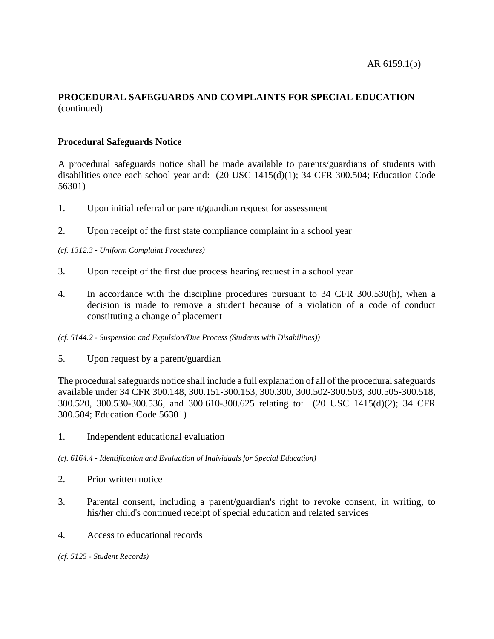# **PROCEDURAL SAFEGUARDS AND COMPLAINTS FOR SPECIAL EDUCATION** (continued)

# **Procedural Safeguards Notice**

A procedural safeguards notice shall be made available to parents/guardians of students with disabilities once each school year and: (20 USC 1415(d)(1); 34 CFR 300.504; Education Code 56301)

- 1. Upon initial referral or parent/guardian request for assessment
- 2. Upon receipt of the first state compliance complaint in a school year

*(cf. 1312.3 - Uniform Complaint Procedures)*

- 3. Upon receipt of the first due process hearing request in a school year
- 4. In accordance with the discipline procedures pursuant to 34 CFR 300.530(h), when a decision is made to remove a student because of a violation of a code of conduct constituting a change of placement

*(cf. 5144.2 - Suspension and Expulsion/Due Process (Students with Disabilities))*

5. Upon request by a parent/guardian

The procedural safeguards notice shall include a full explanation of all of the procedural safeguards available under 34 CFR 300.148, 300.151-300.153, 300.300, 300.502-300.503, 300.505-300.518, 300.520, 300.530-300.536, and 300.610-300.625 relating to: (20 USC 1415(d)(2); 34 CFR 300.504; Education Code 56301)

1. Independent educational evaluation

*(cf. 6164.4 - Identification and Evaluation of Individuals for Special Education)*

- 2. Prior written notice
- 3. Parental consent, including a parent/guardian's right to revoke consent, in writing, to his/her child's continued receipt of special education and related services
- 4. Access to educational records

*(cf. 5125 - Student Records)*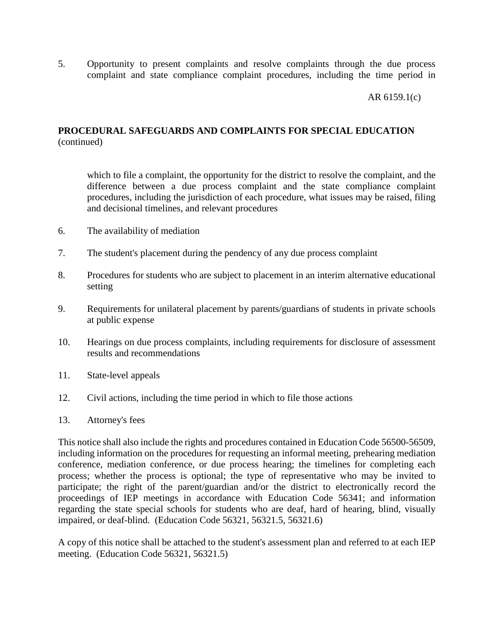5. Opportunity to present complaints and resolve complaints through the due process complaint and state compliance complaint procedures, including the time period in

AR 6159.1(c)

# **PROCEDURAL SAFEGUARDS AND COMPLAINTS FOR SPECIAL EDUCATION** (continued)

which to file a complaint, the opportunity for the district to resolve the complaint, and the difference between a due process complaint and the state compliance complaint procedures, including the jurisdiction of each procedure, what issues may be raised, filing and decisional timelines, and relevant procedures

- 6. The availability of mediation
- 7. The student's placement during the pendency of any due process complaint
- 8. Procedures for students who are subject to placement in an interim alternative educational setting
- 9. Requirements for unilateral placement by parents/guardians of students in private schools at public expense
- 10. Hearings on due process complaints, including requirements for disclosure of assessment results and recommendations
- 11. State-level appeals
- 12. Civil actions, including the time period in which to file those actions
- 13. Attorney's fees

This notice shall also include the rights and procedures contained in Education Code 56500-56509, including information on the procedures for requesting an informal meeting, prehearing mediation conference, mediation conference, or due process hearing; the timelines for completing each process; whether the process is optional; the type of representative who may be invited to participate; the right of the parent/guardian and/or the district to electronically record the proceedings of IEP meetings in accordance with Education Code 56341; and information regarding the state special schools for students who are deaf, hard of hearing, blind, visually impaired, or deaf-blind. (Education Code 56321, 56321.5, 56321.6)

A copy of this notice shall be attached to the student's assessment plan and referred to at each IEP meeting. (Education Code 56321, 56321.5)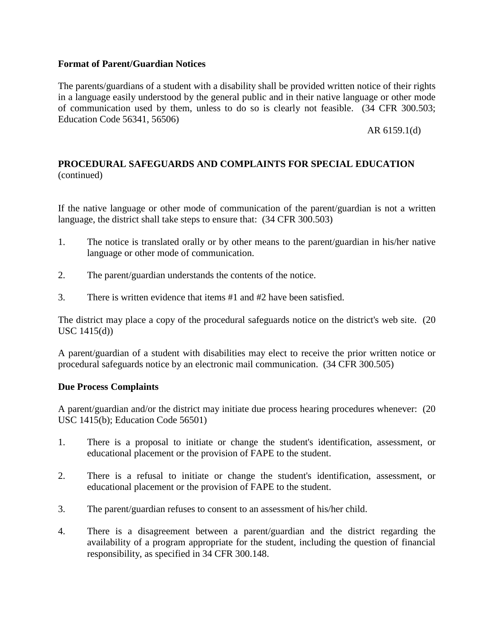# **Format of Parent/Guardian Notices**

The parents/guardians of a student with a disability shall be provided written notice of their rights in a language easily understood by the general public and in their native language or other mode of communication used by them, unless to do so is clearly not feasible. (34 CFR 300.503; Education Code 56341, 56506)

AR 6159.1(d)

# **PROCEDURAL SAFEGUARDS AND COMPLAINTS FOR SPECIAL EDUCATION** (continued)

If the native language or other mode of communication of the parent/guardian is not a written language, the district shall take steps to ensure that: (34 CFR 300.503)

- 1. The notice is translated orally or by other means to the parent/guardian in his/her native language or other mode of communication.
- 2. The parent/guardian understands the contents of the notice.
- 3. There is written evidence that items #1 and #2 have been satisfied.

The district may place a copy of the procedural safeguards notice on the district's web site. (20 USC 1415(d))

A parent/guardian of a student with disabilities may elect to receive the prior written notice or procedural safeguards notice by an electronic mail communication. (34 CFR 300.505)

### **Due Process Complaints**

A parent/guardian and/or the district may initiate due process hearing procedures whenever: (20 USC 1415(b); Education Code 56501)

- 1. There is a proposal to initiate or change the student's identification, assessment, or educational placement or the provision of FAPE to the student.
- 2. There is a refusal to initiate or change the student's identification, assessment, or educational placement or the provision of FAPE to the student.
- 3. The parent/guardian refuses to consent to an assessment of his/her child.
- 4. There is a disagreement between a parent/guardian and the district regarding the availability of a program appropriate for the student, including the question of financial responsibility, as specified in 34 CFR 300.148.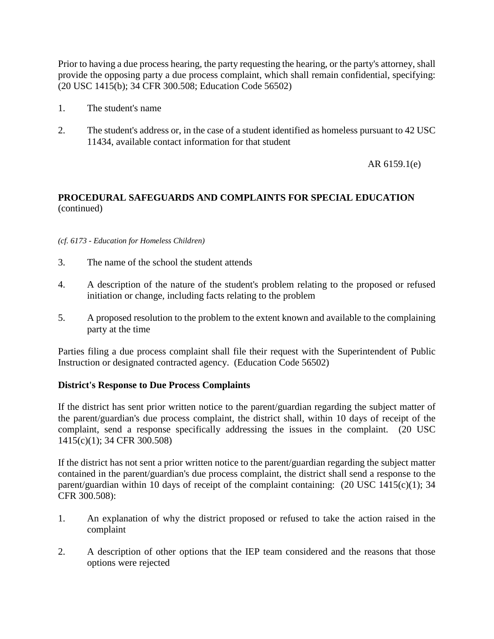Prior to having a due process hearing, the party requesting the hearing, or the party's attorney, shall provide the opposing party a due process complaint, which shall remain confidential, specifying: (20 USC 1415(b); 34 CFR 300.508; Education Code 56502)

- 1. The student's name
- 2. The student's address or, in the case of a student identified as homeless pursuant to 42 USC 11434, available contact information for that student

AR 6159.1(e)

# **PROCEDURAL SAFEGUARDS AND COMPLAINTS FOR SPECIAL EDUCATION** (continued)

*(cf. 6173 - Education for Homeless Children)*

- 3. The name of the school the student attends
- 4. A description of the nature of the student's problem relating to the proposed or refused initiation or change, including facts relating to the problem
- 5. A proposed resolution to the problem to the extent known and available to the complaining party at the time

Parties filing a due process complaint shall file their request with the Superintendent of Public Instruction or designated contracted agency. (Education Code 56502)

### **District's Response to Due Process Complaints**

If the district has sent prior written notice to the parent/guardian regarding the subject matter of the parent/guardian's due process complaint, the district shall, within 10 days of receipt of the complaint, send a response specifically addressing the issues in the complaint. (20 USC 1415(c)(1); 34 CFR 300.508)

If the district has not sent a prior written notice to the parent/guardian regarding the subject matter contained in the parent/guardian's due process complaint, the district shall send a response to the parent/guardian within 10 days of receipt of the complaint containing: (20 USC 1415(c)(1); 34 CFR 300.508):

- 1. An explanation of why the district proposed or refused to take the action raised in the complaint
- 2. A description of other options that the IEP team considered and the reasons that those options were rejected